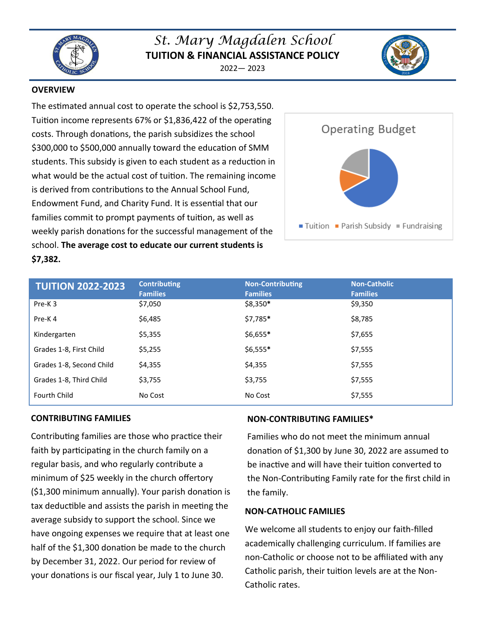

# *St. Mary Magdalen School* **TUITION & FINANCIAL ASSISTANCE POLICY**

2022— 2023



# **OVERVIEW**

The estimated annual cost to operate the school is \$2,753,550. Tuition income represents 67% or \$1,836,422 of the operating costs. Through donations, the parish subsidizes the school \$300,000 to \$500,000 annually toward the education of SMM students. This subsidy is given to each student as a reduction in what would be the actual cost of tuition. The remaining income is derived from contributions to the Annual School Fund, Endowment Fund, and Charity Fund. It is essential that our families commit to prompt payments of tuition, as well as weekly parish donations for the successful management of the school. **The average cost to educate our current students is \$7,382.**



| <b>TUITION 2022-2023</b> | <b>Contributing</b><br><b>Families</b> | <b>Non-Contributing</b><br><b>Families</b> | <b>Non-Catholic</b><br><b>Families</b> |
|--------------------------|----------------------------------------|--------------------------------------------|----------------------------------------|
| Pre-K3                   | \$7,050                                | \$8,350*                                   | \$9,350                                |
| Pre-K4                   | \$6,485                                | \$7,785*                                   | \$8,785                                |
| Kindergarten             | \$5,355                                | \$6,655*                                   | \$7,655                                |
| Grades 1-8, First Child  | \$5,255                                | \$6,555*                                   | \$7,555                                |
| Grades 1-8, Second Child | \$4,355                                | \$4,355                                    | \$7,555                                |
| Grades 1-8, Third Child  | \$3,755                                | \$3,755                                    | \$7,555                                |
| <b>Fourth Child</b>      | No Cost                                | No Cost                                    | \$7,555                                |

# **CONTRIBUTING FAMILIES**

Contributing families are those who practice their faith by participating in the church family on a regular basis, and who regularly contribute a minimum of \$25 weekly in the church offertory (\$1,300 minimum annually). Your parish donation is tax deductible and assists the parish in meeting the average subsidy to support the school. Since we have ongoing expenses we require that at least one half of the \$1,300 donation be made to the church by December 31, 2022. Our period for review of your donations is our fiscal year, July 1 to June 30.

# **NON-CONTRIBUTING FAMILIES\***

Families who do not meet the minimum annual donation of \$1,300 by June 30, 2022 are assumed to be inactive and will have their tuition converted to the Non-Contributing Family rate for the first child in the family.

# **NON-CATHOLIC FAMILIES**

We welcome all students to enjoy our faith-filled academically challenging curriculum. If families are non-Catholic or choose not to be affiliated with any Catholic parish, their tuition levels are at the Non-Catholic rates.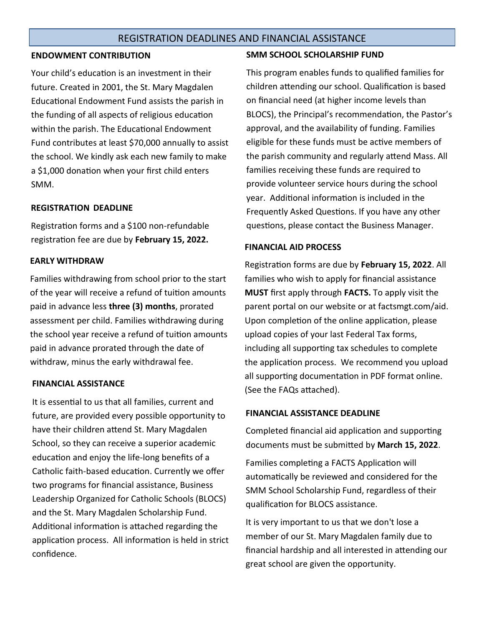# REGISTRATION DEADLINES AND FINANCIAL ASSISTANCE

# **ENDOWMENT CONTRIBUTION**

Your child's education is an investment in their future. Created in 2001, the St. Mary Magdalen Educational Endowment Fund assists the parish in the funding of all aspects of religious education within the parish. The Educational Endowment Fund contributes at least \$70,000 annually to assist the school. We kindly ask each new family to make a \$1,000 donation when your first child enters SMM.

# **REGISTRATION DEADLINE**

Registration forms and a \$100 non-refundable registration fee are due by **February 15, 2022.**

# **EARLY WITHDRAW**

Families withdrawing from school prior to the start of the year will receive a refund of tuition amounts paid in advance less **three (3) months**, prorated assessment per child. Families withdrawing during the school year receive a refund of tuition amounts paid in advance prorated through the date of withdraw, minus the early withdrawal fee.

# **FINANCIAL ASSISTANCE**

It is essential to us that all families, current and future, are provided every possible opportunity to have their children attend St. Mary Magdalen School, so they can receive a superior academic education and enjoy the life-long benefits of a Catholic faith-based education. Currently we offer two programs for financial assistance, Business Leadership Organized for Catholic Schools (BLOCS) and the St. Mary Magdalen Scholarship Fund. Additional information is attached regarding the application process. All information is held in strict confidence.

#### **SMM SCHOOL SCHOLARSHIP FUND**

This program enables funds to qualified families for children attending our school. Qualification is based on financial need (at higher income levels than BLOCS), the Principal's recommendation, the Pastor's approval, and the availability of funding. Families eligible for these funds must be active members of the parish community and regularly attend Mass. All families receiving these funds are required to provide volunteer service hours during the school year. Additional information is included in the Frequently Asked Questions. If you have any other questions, please contact the Business Manager.

# **FINANCIAL AID PROCESS**

Registration forms are due by **February 15, 2022**. All families who wish to apply for financial assistance **MUST** first apply through **FACTS.** To apply visit the parent portal on our website or at factsmgt.com/aid. Upon completion of the online application, please upload copies of your last Federal Tax forms, including all supporting tax schedules to complete the application process. We recommend you upload all supporting documentation in PDF format online. (See the FAQs attached).

# **FINANCIAL ASSISTANCE DEADLINE**

Completed financial aid application and supporting documents must be submitted by **March 15, 2022**.

Families completing a FACTS Application will automatically be reviewed and considered for the SMM School Scholarship Fund, regardless of their qualification for BLOCS assistance.

It is very important to us that we don't lose a member of our St. Mary Magdalen family due to financial hardship and all interested in attending our great school are given the opportunity.